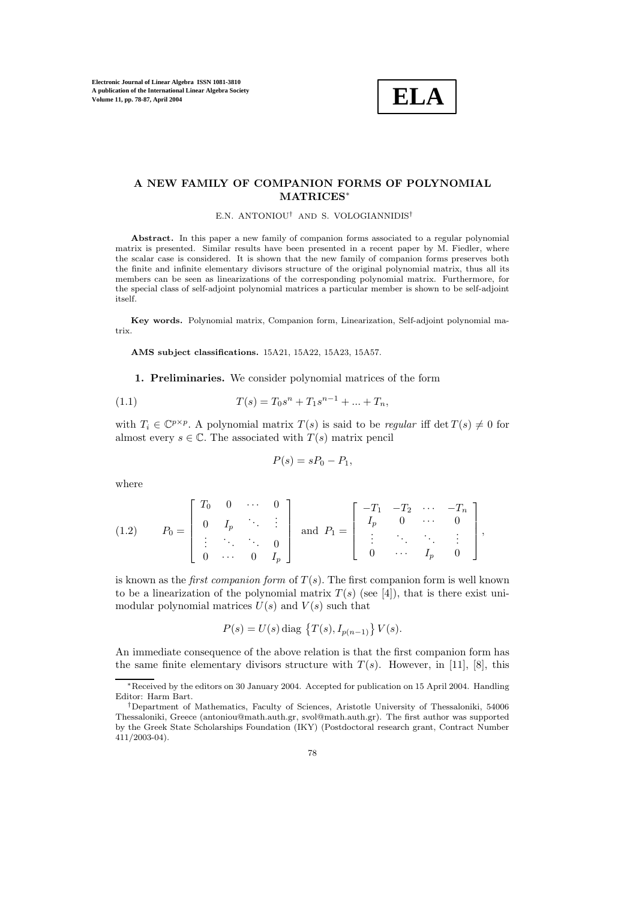

## **A NEW FAMILY OF COMPANION FORMS OF POLYNOMIAL MATRICES**<sup>∗</sup>

E.N. ANTONIOU† AND S. VOLOGIANNIDIS†

**Abstract.** In this paper a new family of companion forms associated to a regular polynomial matrix is presented. Similar results have been presented in a recent paper by M. Fiedler, where the scalar case is considered. It is shown that the new family of companion forms preserves both the finite and infinite elementary divisors structure of the original polynomial matrix, thus all its members can be seen as linearizations of the corresponding polynomial matrix. Furthermore, for the special class of self-adjoint polynomial matrices a particular member is shown to be self-adjoint itself.

**Key words.** Polynomial matrix, Companion form, Linearization, Self-adjoint polynomial matrix.

**AMS subject classifications.** 15A21, 15A22, 15A23, 15A57.

**1. Preliminaries.** We consider polynomial matrices of the form

(1.1) 
$$
T(s) = T_0 s^n + T_1 s^{n-1} + \dots + T_n,
$$

with  $T_i \in \mathbb{C}^{p \times p}$ . A polynomial matrix  $T(s)$  is said to be *regular* iff det  $T(s) \neq 0$  for almost every  $s \in \mathbb{C}$ . The associated with  $T(s)$  matrix pencil

$$
P(s) = sP_0 - P_1,
$$

where

(1.2) 
$$
P_0 = \begin{bmatrix} T_0 & 0 & \cdots & 0 \\ 0 & I_p & \ddots & \vdots \\ \vdots & \ddots & \ddots & 0 \\ 0 & \cdots & 0 & I_p \end{bmatrix} \text{ and } P_1 = \begin{bmatrix} -T_1 & -T_2 & \cdots & -T_n \\ I_p & 0 & \cdots & 0 \\ \vdots & \ddots & \ddots & \vdots \\ 0 & \cdots & I_p & 0 \end{bmatrix},
$$

is known as the *first companion form* of  $T(s)$ . The first companion form is well known to be a linearization of the polynomial matrix  $T(s)$  (see [4]), that is there exist unimodular polynomial matrices  $U(s)$  and  $V(s)$  such that

$$
P(s) = U(s) \text{ diag } \{ T(s), I_{p(n-1)} \} V(s).
$$

An immediate consequence of the above relation is that the first companion form has the same finite elementary divisors structure with  $T(s)$ . However, in [11], [8], this

<sup>∗</sup>Received by the editors on 30 January 2004. Accepted for publication on 15 April 2004. Handling Editor: Harm Bart.

<sup>†</sup>Department of Mathematics, Faculty of Sciences, Aristotle University of Thessaloniki, 54006 Thessaloniki, Greece (antoniou@math.auth.gr, svol@math.auth.gr). The first author was supported by the Greek State Scholarships Foundation (IKY) (Postdoctoral research grant, Contract Number 411/2003-04).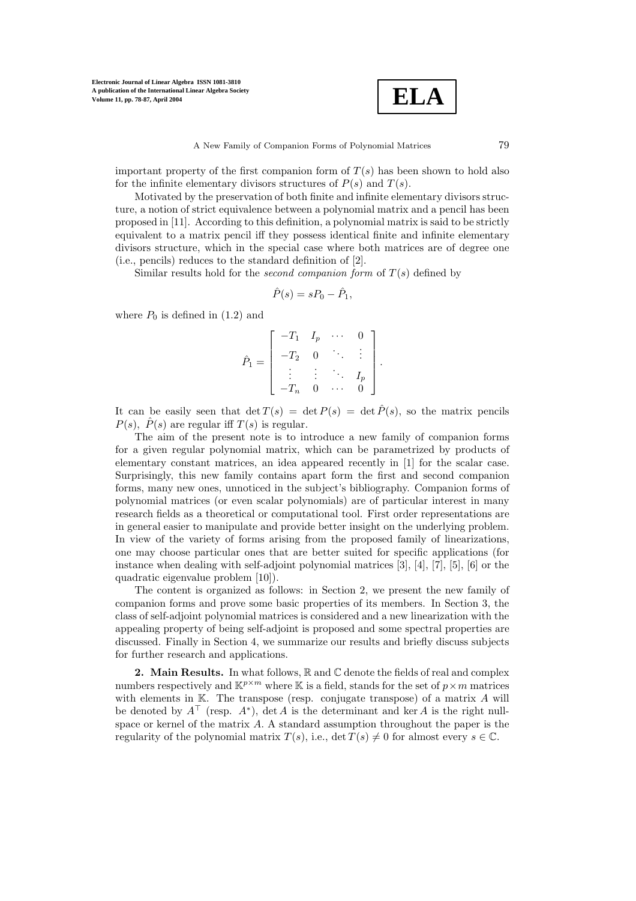

important property of the first companion form of  $T(s)$  has been shown to hold also for the infinite elementary divisors structures of  $P(s)$  and  $T(s)$ .

Motivated by the preservation of both finite and infinite elementary divisors structure, a notion of strict equivalence between a polynomial matrix and a pencil has been proposed in [11]. According to this definition, a polynomial matrix is said to be strictly equivalent to a matrix pencil iff they possess identical finite and infinite elementary divisors structure, which in the special case where both matrices are of degree one (i.e., pencils) reduces to the standard definition of [2].

Similar results hold for the *second companion form* of  $T(s)$  defined by

$$
\hat{P}(s) = sP_0 - \hat{P}_1,
$$

where  $P_0$  is defined in (1.2) and

$$
\hat{P}_1 = \begin{bmatrix} -T_1 & I_p & \cdots & 0 \\ -T_2 & 0 & \ddots & \vdots \\ \vdots & \vdots & \ddots & I_p \\ -T_n & 0 & \cdots & 0 \end{bmatrix}.
$$

It can be easily seen that  $\det T(s) = \det P(s) = \det \hat{P}(s)$ , so the matrix pencils  $P(s)$ ,  $\hat{P}(s)$  are regular iff  $T(s)$  is regular.

The aim of the present note is to introduce a new family of companion forms for a given regular polynomial matrix, which can be parametrized by products of elementary constant matrices, an idea appeared recently in [1] for the scalar case. Surprisingly, this new family contains apart form the first and second companion forms, many new ones, unnoticed in the subject's bibliography. Companion forms of polynomial matrices (or even scalar polynomials) are of particular interest in many research fields as a theoretical or computational tool. First order representations are in general easier to manipulate and provide better insight on the underlying problem. In view of the variety of forms arising from the proposed family of linearizations, one may choose particular ones that are better suited for specific applications (for instance when dealing with self-adjoint polynomial matrices [3], [4], [7], [5], [6] or the quadratic eigenvalue problem [10]).

The content is organized as follows: in Section 2, we present the new family of companion forms and prove some basic properties of its members. In Section 3, the class of self-adjoint polynomial matrices is considered and a new linearization with the appealing property of being self-adjoint is proposed and some spectral properties are discussed. Finally in Section 4, we summarize our results and briefly discuss subjects for further research and applications.

2. Main Results. In what follows,  $\mathbb R$  and  $\mathbb C$  denote the fields of real and complex numbers respectively and  $\mathbb{K}^{p \times m}$  where  $\mathbb K$  is a field, stands for the set of  $p \times m$  matrices with elements in  $K$ . The transpose (resp. conjugate transpose) of a matrix  $A$  will be denoted by  $A^{\dagger}$  (resp.  $A^*$ ), det A is the determinant and ker A is the right nullspace or kernel of the matrix A. A standard assumption throughout the paper is the regularity of the polynomial matrix  $T(s)$ , i.e.,  $\det T(s) \neq 0$  for almost every  $s \in \mathbb{C}$ .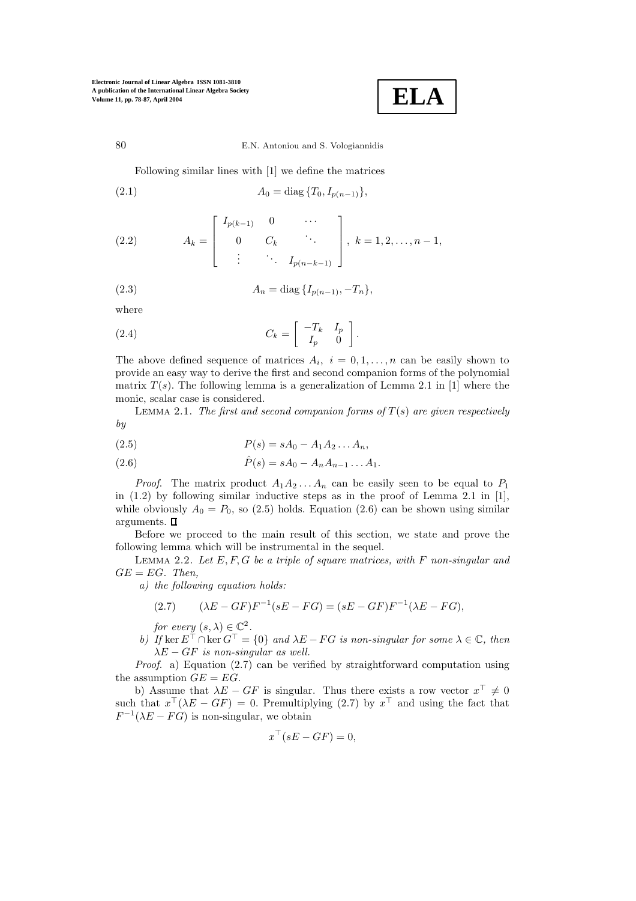$$
\fbox{ELA}
$$

80 E.N. Antoniouand S. Vologiannidis

Following similar lines with [1] we define the matrices

(2.1) 
$$
A_0 = \text{diag}\{T_0, I_{p(n-1)}\},
$$

(2.2) 
$$
A_k = \begin{bmatrix} I_{p(k-1)} & 0 & \cdots \\ 0 & C_k & \ddots \\ \vdots & \ddots & I_{p(n-k-1)} \end{bmatrix}, k = 1, 2, \ldots, n-1,
$$

(2.3) 
$$
A_n = \text{diag}\{I_{p(n-1)}, -T_n\},\
$$

where

(2.4) 
$$
C_k = \begin{bmatrix} -T_k & I_p \\ I_p & 0 \end{bmatrix}.
$$

The above defined sequence of matrices  $A_i$ ,  $i = 0, 1, \ldots, n$  can be easily shown to provide an easy way to derive the first and second companion forms of the polynomial matrix  $T(s)$ . The following lemma is a generalization of Lemma 2.1 in [1] where the monic, scalar case is considered.

LEMMA 2.1. The first and second companion forms of  $T(s)$  are given respectively *by*

(2.5) 
$$
P(s) = sA_0 - A_1 A_2 ... A_n,
$$

(2.6) 
$$
\hat{P}(s) = sA_0 - A_n A_{n-1} \dots A_1.
$$

*Proof.* The matrix product  $A_1A_2...A_n$  can be easily seen to be equal to  $P_1$ in (1.2) by following similar inductive steps as in the proof of Lemma 2.1 in [1], while obviously  $A_0 = P_0$ , so (2.5) holds. Equation (2.6) can be shown using similar arguments.  $\square$ 

Before we proceed to the main result of this section, we state and prove the following lemma which will be instrumental in the sequel.

Lemma 2.2. *Let* E, F, G *be a triple of square matrices, with* F *non-singular and*  $GE = EG$ *. Then.* 

*a) the following equation holds:*

(2.7) 
$$
(\lambda E - GF)F^{-1}(sE - FG) = (sE - GF)F^{-1}(\lambda E - FG),
$$

*for every*  $(s, \lambda) \in \mathbb{C}^2$ .

*b)* If ker  $E^{\top} \cap \ker G^{\top} = \{0\}$  and  $\lambda E - FG$  is non-singular for some  $\lambda \in \mathbb{C}$ , then  $\lambda E - GF$  *is non-singular as well.* 

*Proof*. a) Equation (2.7) can be verified by straightforward computation using the assumption  $GE = EG$ .

b) Assume that  $\lambda E - GF$  is singular. Thus there exists a row vector  $x^{\perp} \neq 0$ such that  $x^{\top}(\lambda E - GF) = 0$ . Premultiplying (2.7) by  $x^{\top}$  and using the fact that  $F^{-1}(\lambda E - FG)$  is non-singular, we obtain

$$
x^{\top}(sE - GF) = 0,
$$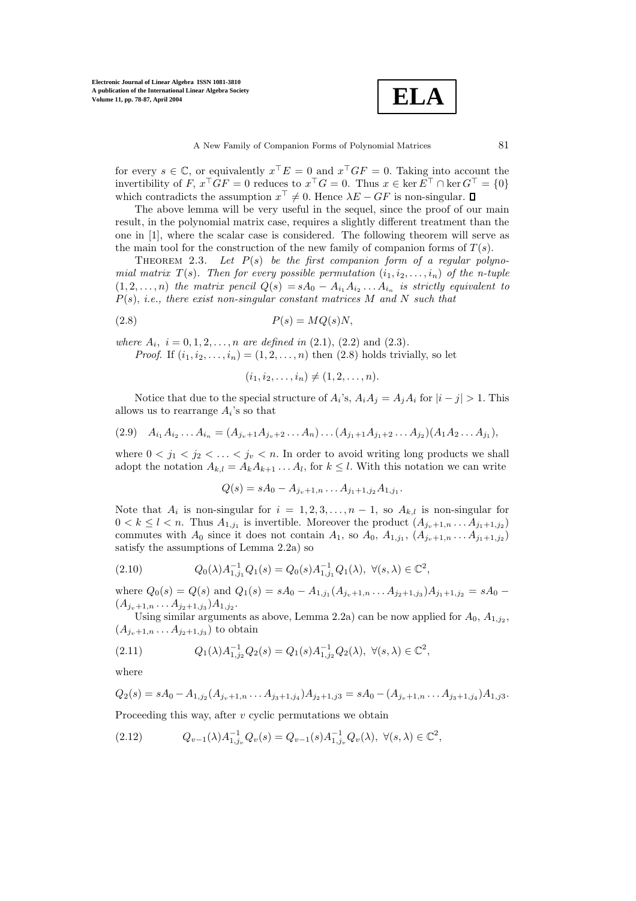**ELA**

A New Family of Companion Forms of Polynomial Matrices 81

for every  $s \in \mathbb{C}$ , or equivalently  $x^{\top}E = 0$  and  $x^{\top}GF = 0$ . Taking into account the invertibility of F,  $x^{\top}GF = 0$  reduces to  $x^{\top}G = 0$ . Thus  $x \in \ker E^{\top} \cap \ker G^{\top} = \{0\}$ which contradicts the assumption  $x^+ \neq 0$ . Hence  $\lambda E - GF$  is non-singular.

The above lemma will be very useful in the sequel, since the proof of our main result, in the polynomial matrix case, requires a slightly different treatment than the one in [1], where the scalar case is considered. The following theorem will serve as the main tool for the construction of the new family of companion forms of  $T(s)$ .

Theorem 2.3. *Let* P(s) *be the first companion form of a regular polynomial matrix*  $T(s)$ *. Then for every possible permutation*  $(i_1, i_2, \ldots, i_n)$  *of the n-tuple*  $(1, 2, \ldots, n)$  *the matrix pencil*  $Q(s) = sA_0 - A_{i_1}A_{i_2} \ldots A_{i_n}$  *is strictly equivalent to* P(s), *i.e., there exist non-singular constant matrices* M *and* N *such that*

$$
(2.8) \t\t P(s) = MQ(s)N,
$$

*where*  $A_i$ ,  $i = 0, 1, 2, \ldots, n$  *are defined in* (2.1), (2.2) and (2.3)*.* 

*Proof.* If  $(i_1, i_2, \ldots, i_n) = (1, 2, \ldots, n)$  then  $(2.8)$  holds trivially, so let

$$
(i_1, i_2, \ldots, i_n) \neq (1, 2, \ldots, n).
$$

Notice that due to the special structure of  $A_i$ 's,  $A_iA_j = A_jA_i$  for  $|i - j| > 1$ . This allows us to rearrange  $A_i$ 's so that

$$
(2.9) \quad A_{i_1}A_{i_2}\ldots A_{i_n} = (A_{j_v+1}A_{j_v+2}\ldots A_n)\ldots (A_{j_1+1}A_{j_1+2}\ldots A_{j_2})(A_1A_2\ldots A_{j_1}),
$$

where  $0 \lt j_1 \lt j_2 \lt \ldots \lt j_v \lt n$ . In order to avoid writing long products we shall adopt the notation  $A_{k,l} = A_k A_{k+1} \dots A_l$ , for  $k \leq l$ . With this notation we can write

$$
Q(s) = sA_0 - A_{j_v+1,n} \dots A_{j_1+1,j_2} A_{1,j_1}.
$$

Note that  $A_i$  is non-singular for  $i = 1, 2, 3, \ldots, n-1$ , so  $A_{k,l}$  is non-singular for  $0 < k \leq l < n$ . Thus  $A_{1,j_1}$  is invertible. Moreover the product  $(A_{j_v+1,n} \ldots A_{j_1+1,j_2})$ commutes with  $A_0$  since it does not contain  $A_1$ , so  $A_0$ ,  $A_{1,j_1}$ ,  $(A_{j_v+1,n} \ldots A_{j_1+1,j_2})$ satisfy the assumptions of Lemma 2.2a) so

$$
(2.10) \tQ_0(\lambda) A_{1,j_1}^{-1} Q_1(s) = Q_0(s) A_{1,j_1}^{-1} Q_1(\lambda), \ \forall (s,\lambda) \in \mathbb{C}^2,
$$

where  $Q_0(s) = Q(s)$  and  $Q_1(s) = sA_0 - A_{1,j_1}(A_{j_v+1,n} \ldots A_{j_2+1,j_3})A_{j_1+1,j_2} = sA_0 (A_{j_v+1,n} \ldots A_{j_2+1,j_3})A_{1,j_2}$ .

Using similar arguments as above, Lemma 2.2a) can be now applied for  $A_0$ ,  $A_{1,j_2}$ ,  $(A_{j_{n}+1,n}\ldots A_{j_{2}+1,j_{3}})$  to obtain

$$
(2.11) \tQ_1(\lambda)A_{1,j_2}^{-1}Q_2(s) = Q_1(s)A_{1,j_2}^{-1}Q_2(\lambda), \ \forall (s,\lambda) \in \mathbb{C}^2,
$$

where

$$
Q_2(s) = sA_0 - A_{1,j_2}(A_{j_v+1,n} \dots A_{j_3+1,j_4})A_{j_2+1,j_3} = sA_0 - (A_{j_v+1,n} \dots A_{j_3+1,j_4})A_{1,j_3}.
$$

Proceeding this way, after  $v$  cyclic permutations we obtain

$$
(2.12) \tQ_{v-1}(\lambda)A_{1,j_v}^{-1}Q_v(s) = Q_{v-1}(s)A_{1,j_v}^{-1}Q_v(\lambda), \ \forall (s,\lambda) \in \mathbb{C}^2,
$$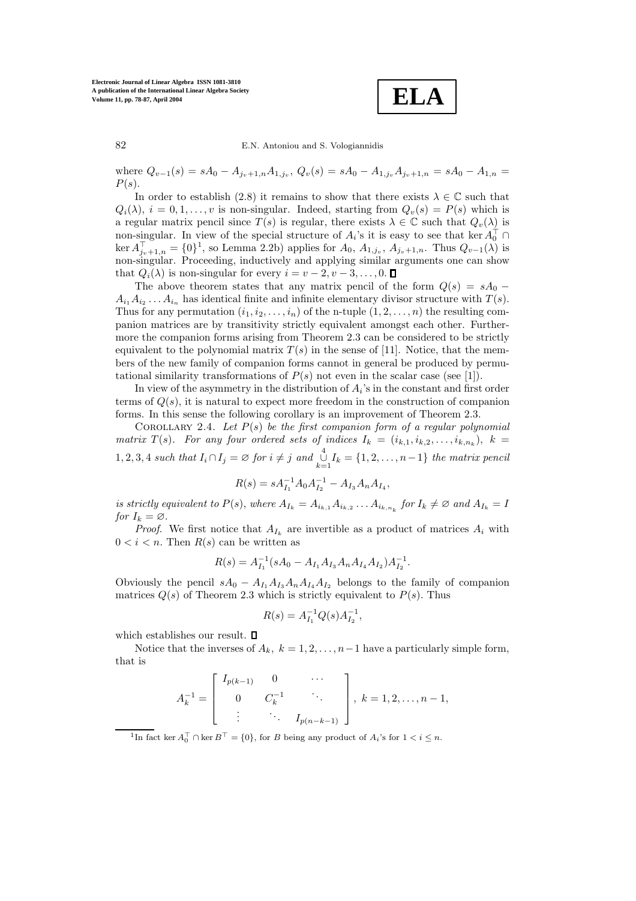

82 E.N. Antoniouand S. Vologiannidis

where  $Q_{v-1}(s) = sA_0 - A_{i_v+1,n}A_{1,i_v}, Q_v(s) = sA_0 - A_{1,i_v}A_{i_v+1,n} = sA_0 - A_{1,n}$  $P(s)$ .

In order to establish (2.8) it remains to show that there exists  $\lambda \in \mathbb{C}$  such that  $Q_i(\lambda)$ ,  $i = 0, 1, \ldots, v$  is non-singular. Indeed, starting from  $Q_v(s) = P(s)$  which is a regular matrix pencil since  $T(s)$  is regular, there exists  $\lambda \in \mathbb{C}$  such that  $Q_v(\lambda)$  is non-singular. In view of the special structure of  $A_i$ 's it is easy to see that ker  $A_0^{\dagger} \cap$  $\ker A_{j_v+1,n}^{\top} = \{0\}^1$ , so Lemma 2.2b) applies for  $A_0, A_{1,j_v}, A_{j_v+1,n}$ . Thus  $Q_{v-1}(\lambda)$  is non-singular. Proceeding, inductively and applying similar arguments one can show that  $Q_i(\lambda)$  is non-singular for every  $i = v - 2, v - 3, \ldots, 0$ .  $\Box$ 

The above theorem states that any matrix pencil of the form  $Q(s) = sA_0 A_i, A_j, \ldots, A_i$  has identical finite and infinite elementary divisor structure with  $T(s)$ . Thus for any permutation  $(i_1, i_2, \ldots, i_n)$  of the n-tuple  $(1, 2, \ldots, n)$  the resulting companion matrices are by transitivity strictly equivalent amongst each other. Furthermore the companion forms arising from Theorem 2.3 can be considered to be strictly equivalent to the polynomial matrix  $T(s)$  in the sense of [11]. Notice, that the members of the new family of companion forms cannot in general be produced by permutational similarity transformations of  $P(s)$  not even in the scalar case (see [1]).

In view of the asymmetry in the distribution of  $A_i$ 's in the constant and first order terms of  $Q(s)$ , it is natural to expect more freedom in the construction of companion forms. In this sense the following corollary is an improvement of Theorem 2.3.

Corollary 2.4. *Let* P(s) *be the first companion form of a regular polynomial matrix*  $T(s)$ *. For any four ordered sets of indices*  $I_k = (i_{k,1}, i_{k,2}, \ldots, i_{k,n_k})$ ,  $k =$  $1, 2, 3, 4$  *such that*  $I_i \cap I_j = \emptyset$  *for*  $i \neq j$  *and*  $\bigcup_{k=1}^{4} I_k = \{1, 2, ..., n-1\}$  *the matrix pencil* 

$$
R(s) = sA_{I_1}^{-1}A_0A_{I_2}^{-1} - A_{I_3}A_nA_{I_4},
$$

*is strictly equivalent to*  $P(s)$ , *where*  $A_{I_k} = A_{i_{k,1}} A_{i_{k,2}} \ldots A_{i_{k,n_k}}$  for  $I_k \neq \emptyset$  and  $A_{I_k} = I$ *for*  $I_k = \emptyset$ .

*Proof.* We first notice that  $A_{I_k}$  are invertible as a product of matrices  $A_i$  with  $0 < i < n$ . Then  $R(s)$  can be written as

$$
R(s) = A_{I_1}^{-1} (sA_0 - A_{I_1} A_{I_3} A_n A_{I_4} A_{I_2}) A_{I_2}^{-1}.
$$

Obviously the pencil  $sA_0 - A_{I_1}A_{I_3}A_{n}A_{I_4}A_{I_2}$  belongs to the family of companion matrices  $Q(s)$  of Theorem 2.3 which is strictly equivalent to  $P(s)$ . Thus

$$
R(s) = A_{I_1}^{-1} Q(s) A_{I_2}^{-1},
$$

which establishes our result.  $\Box$ 

Notice that the inverses of  $A_k$ ,  $k = 1, 2, \ldots, n-1$  have a particularly simple form, that is

$$
A_k^{-1} = \begin{bmatrix} I_{p(k-1)} & 0 & \cdots \\ 0 & C_k^{-1} & \ddots \\ \vdots & \ddots & I_{p(n-k-1)} \end{bmatrix}, k = 1, 2, \ldots, n-1,
$$

<sup>1</sup>In fact ker  $A_0^{\top} \cap \ker B^{\top} = \{0\}$ , for B being any product of  $A_i$ 's for  $1 < i \leq n$ .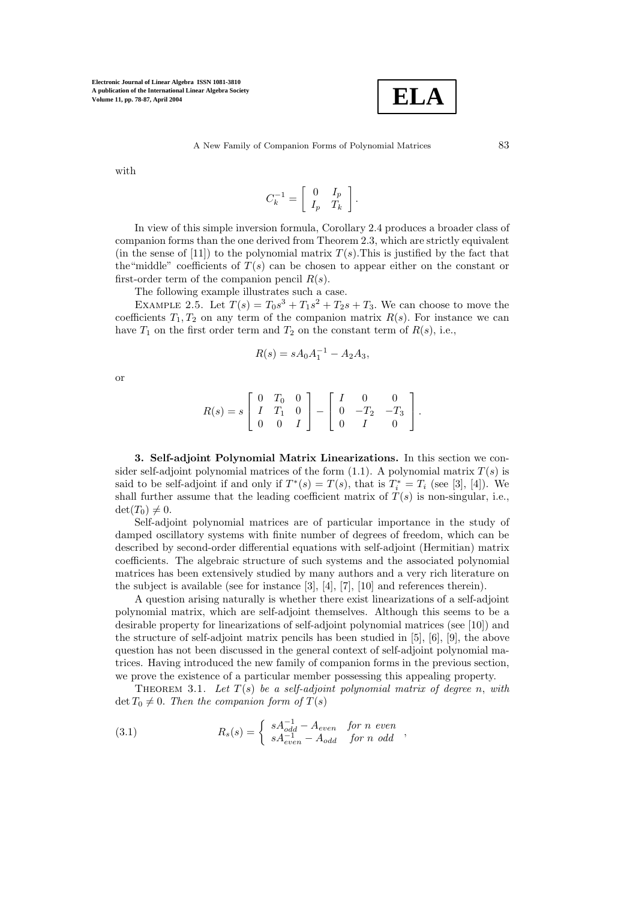

with

$$
C_k^{-1} = \left[ \begin{array}{cc} 0 & I_p \\ I_p & T_k \end{array} \right].
$$

In view of this simple inversion formula, Corollary 2.4 produces a broader class of companion forms than the one derived from Theorem 2.3, which are strictly equivalent (in the sense of [11]) to the polynomial matrix  $T(s)$ . This is justified by the fact that the "middle" coefficients of  $T(s)$  can be chosen to appear either on the constant or first-order term of the companion pencil  $R(s)$ .

The following example illustrates such a case.

EXAMPLE 2.5. Let  $T(s) = T_0s^3 + T_1s^2 + T_2s + T_3$ . We can choose to move the coefficients  $T_1, T_2$  on any term of the companion matrix  $R(s)$ . For instance we can have  $T_1$  on the first order term and  $T_2$  on the constant term of  $R(s)$ , i.e.,

$$
R(s) = sA_0A_1^{-1} - A_2A_3,
$$

or

$$
R(s) = s \left[ \begin{array}{ccc} 0 & T_0 & 0 \\ I & T_1 & 0 \\ 0 & 0 & I \end{array} \right] - \left[ \begin{array}{ccc} I & 0 & 0 \\ 0 & -T_2 & -T_3 \\ 0 & I & 0 \end{array} \right].
$$

**3. Self-adjoint Polynomial Matrix Linearizations.** In this section we consider self-adjoint polynomial matrices of the form  $(1.1)$ . A polynomial matrix  $T(s)$  is said to be self-adjoint if and only if  $T^*(s) = T(s)$ , that is  $T_i^* = T_i$  (see [3], [4]). We shall further assume that the leading coefficient matrix of  $T(s)$  is non-singular, i.e.,  $\det(T_0) \neq 0.$ 

Self-adjoint polynomial matrices are of particular importance in the study of damped oscillatory systems with finite number of degrees of freedom, which can be described by second-order differential equations with self-adjoint (Hermitian) matrix coefficients. The algebraic structure of such systems and the associated polynomial matrices has been extensively studied by many authors and a very rich literature on the subject is available (see for instance [3], [4], [7], [10] and references therein).

A question arising naturally is whether there exist linearizations of a self-adjoint polynomial matrix, which are self-adjoint themselves. Although this seems to be a desirable property for linearizations of self-adjoint polynomial matrices (see [10]) and the structure of self-adjoint matrix pencils has been studied in [5], [6], [9], the above question has not been discussed in the general context of self-adjoint polynomial matrices. Having introduced the new family of companion forms in the previous section, we prove the existence of a particular member possessing this appealing property.

THEOREM 3.1. Let  $T(s)$  be a self-adjoint polynomial matrix of degree n, with  $\det T_0 \neq 0$ . *Then the companion form of*  $T(s)$ 

(3.1) 
$$
R_s(s) = \begin{cases} sA_{odd}^{-1} - A_{even} & \text{for } n \text{ even} \\ sA_{even}^{-1} - A_{odd} & \text{for } n \text{ odd} \end{cases},
$$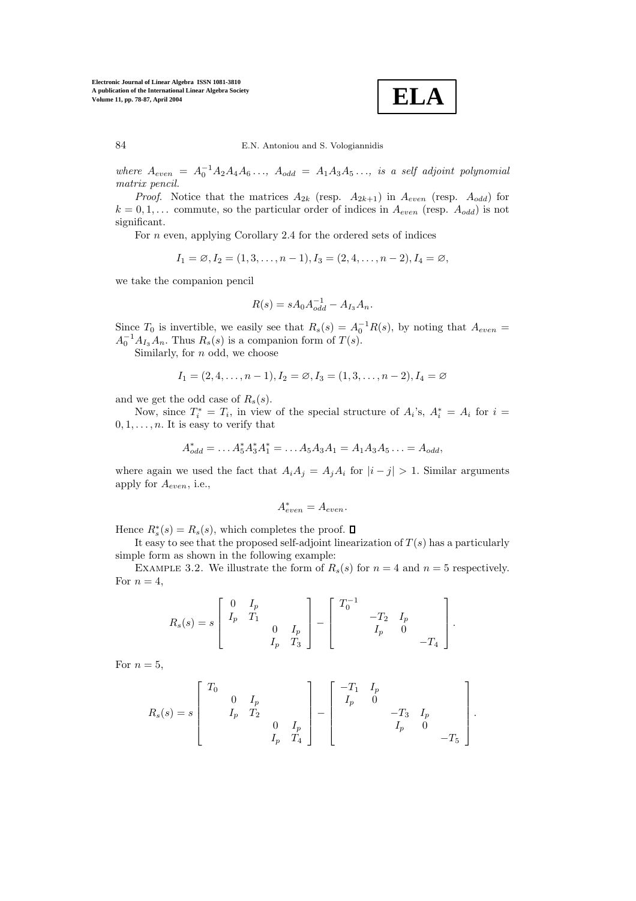**ELA**

84 E.N. Antoniouand S. Vologiannidis

*where*  $A_{even} = A_0^{-1} A_2 A_4 A_6 \ldots$ ,  $A_{odd} = A_1 A_3 A_5 \ldots$ , is a self adjoint polynomial *matrix pencil.*

*Proof.* Notice that the matrices  $A_{2k}$  (resp.  $A_{2k+1}$ ) in  $A_{even}$  (resp.  $A_{odd}$ ) for  $k = 0, 1, \ldots$  commute, so the particular order of indices in  $A_{even}$  (resp.  $A_{odd}$ ) is not significant.

For  $n$  even, applying Corollary 2.4 for the ordered sets of indices

$$
I_1 = \emptyset, I_2 = (1, 3, \dots, n-1), I_3 = (2, 4, \dots, n-2), I_4 = \emptyset,
$$

we take the companion pencil

$$
R(s) = sA_0 A_{odd}^{-1} - A_{I_3} A_n.
$$

Since  $T_0$  is invertible, we easily see that  $R_s(s) = A_0^{-1}R(s)$ , by noting that  $A_{even} =$  $A_0^{-1}A_{I_3}A_n$ . Thus  $R_s(s)$  is a companion form of  $T(s)$ .

Similarly, for  $n$  odd, we choose

$$
I_1 = (2, 4, \dots, n-1), I_2 = \emptyset, I_3 = (1, 3, \dots, n-2), I_4 = \emptyset
$$

and we get the odd case of  $R_s(s)$ .

Now, since  $T_i^* = T_i$ , in view of the special structure of  $A_i$ 's,  $A_i^* = A_i$  for  $i =$  $0, 1, \ldots, n$ . It is easy to verify that

$$
A_{odd}^* = \dots A_5^* A_3^* A_1^* = \dots A_5 A_3 A_1 = A_1 A_3 A_5 \dots = A_{odd},
$$

where again we used the fact that  $A_iA_j = A_jA_i$  for  $|i - j| > 1$ . Similar arguments apply for Aeven, i.e.,

$$
A^*_{even} = A_{even}.
$$

Hence  $R_s^*(s) = R_s(s)$ , which completes the proof.

It easy to see that the proposed self-adjoint linearization of  $T(s)$  has a particularly simple form as shown in the following example:

EXAMPLE 3.2. We illustrate the form of  $R_s(s)$  for  $n = 4$  and  $n = 5$  respectively. For  $n = 4$ ,

$$
R_s(s) = s \begin{bmatrix} 0 & I_p & & \\ I_p & T_1 & & \\ & & 0 & I_p & \\ & & I_p & T_3 \end{bmatrix} - \begin{bmatrix} T_0^{-1} & & & \\ & -T_2 & I_p & \\ & & I_p & 0 & \\ & & & -T_4 \end{bmatrix}.
$$

For  $n = 5$ ,

$$
R_s(s) = s \begin{bmatrix} T_0 & & & & \\ & 0 & I_p & & \\ & I_p & T_2 & & \\ & & I_p & T_4 \end{bmatrix} - \begin{bmatrix} -T_1 & I_p & & & \\ & I_p & 0 & & \\ & & -T_3 & I_p & \\ & & I_p & 0 & \\ & & & -T_5 \end{bmatrix}.
$$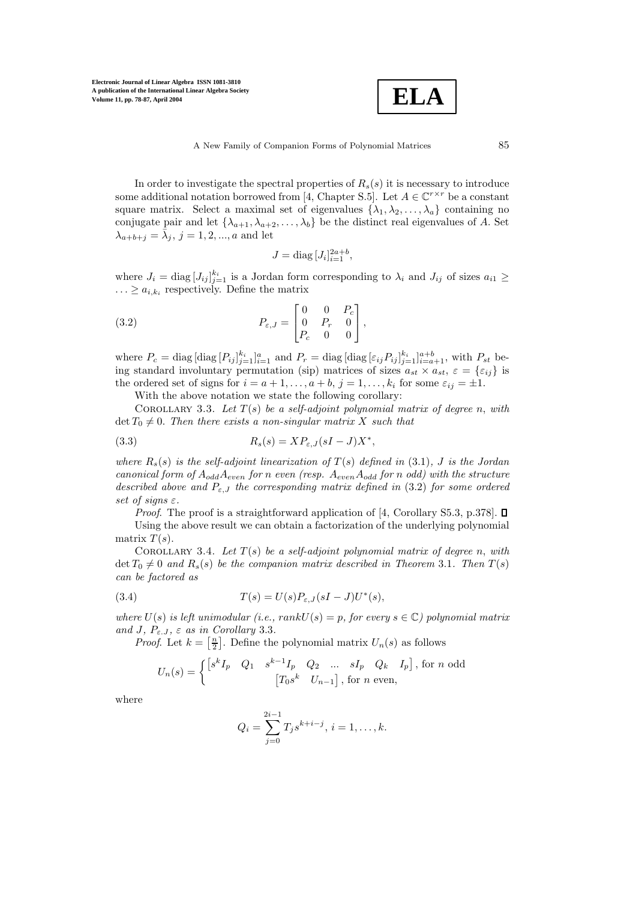

In order to investigate the spectral properties of  $R_s(s)$  it is necessary to introduce some additional notation borrowed from [4, Chapter S.5]. Let  $A \in \mathbb{C}^{r \times r}$  be a constant square matrix. Select a maximal set of eigenvalues  $\{\lambda_1, \lambda_2, \ldots, \lambda_a\}$  containing no conjugate pair and let  $\{\lambda_{a+1}, \lambda_{a+2}, \ldots, \lambda_b\}$  be the distinct real eigenvalues of A. Set  $\lambda_{a+b+j} = \overline{\lambda}_i, j = 1, 2, ..., a$  and let

$$
J = \text{diag}\, [J_i]_{i=1}^{2a+b},
$$

where  $J_i = \text{diag}\left[J_{ij}\right]_{j=1}^{k_i}$  is a Jordan form corresponding to  $\lambda_i$  and  $J_{ij}$  of sizes  $a_{i1} \geq$  $\ldots \ge a_{i,k_i}$  respectively. Define the matrix

(3.2) 
$$
P_{\varepsilon,J} = \begin{bmatrix} 0 & 0 & P_c \\ 0 & P_r & 0 \\ P_c & 0 & 0 \end{bmatrix},
$$

where  $P_c = \text{diag}\left[\text{diag}\left[P_{ij}\right]_{j=1}^{k_i}\right]_{i=1}^a$  and  $P_r = \text{diag}\left[\text{diag}\left[\varepsilon_{ij}P_{ij}\right]_{j=1}^{k_i}\right]_{i=a+1}^{a+b}$ , with  $P_{st}$  being standard involuntary permutation (sip) matrices of sizes  $a_{st} \times a_{st}$ ,  $\varepsilon = \{\varepsilon_{ij}\}\$ is the ordered set of signs for  $i = a + 1, \ldots, a + b, j = 1, \ldots, k_i$  for some  $\varepsilon_{ij} = \pm 1$ .

With the above notation we state the following corollary:

COROLLARY 3.3. Let  $T(s)$  be a self-adjoint polynomial matrix of degree n, with  $\det T_0 \neq 0$ . Then there exists a non-singular matrix X such that

(3.3) 
$$
R_s(s) = XP_{\varepsilon, J}(sI-J)X^*,
$$

*where*  $R_s(s)$  *is the self-adjoint linearization of*  $T(s)$  *defined in* (3.1)*, J is the Jordan canonical form of* AoddAeven *for* n *even (resp.* AevenAodd *for* n *odd) with the structure described above and* Pε,J *the corresponding matrix defined in* (3.2) *for some ordered set of signs* ε*.*

*Proof.* The proof is a straightforward application of [4, Corollary S5.3, p.378].  $\square$ Using the above result we can obtain a factorization of the underlying polynomial matrix  $T(s)$ .

COROLLARY 3.4. Let  $T(s)$  be a self-adjoint polynomial matrix of degree n, with  $\det T_0 \neq 0$  and  $R_s(s)$  be the companion matrix described in Theorem 3.1. Then  $T(s)$ *can be factored as*

(3.4) 
$$
T(s) = U(s)P_{\varepsilon,J}(sI-J)U^*(s),
$$

*where*  $U(s)$  *is left unimodular (i.e., rank* $U(s) = p$ *, for every*  $s \in \mathbb{C}$ ) polynomial matrix *and* J*,* Pε.J *,* ε *as in Corollary* 3.3*.*

*Proof.* Let  $k = \left[\frac{n}{2}\right]$ . Define the polynomial matrix  $U_n(s)$  as follows

$$
U_n(s) = \begin{cases} \begin{bmatrix} s^k I_p & Q_1 & s^{k-1} I_p & Q_2 & \dots & sI_p & Q_k & I_p \end{bmatrix}, \text{ for } n \text{ odd} \\ \begin{bmatrix} T_0 s^k & U_{n-1} \end{bmatrix}, \text{ for } n \text{ even}, \end{cases}
$$

where

$$
Q_i = \sum_{j=0}^{2i-1} T_j s^{k+i-j}, i = 1, \dots, k.
$$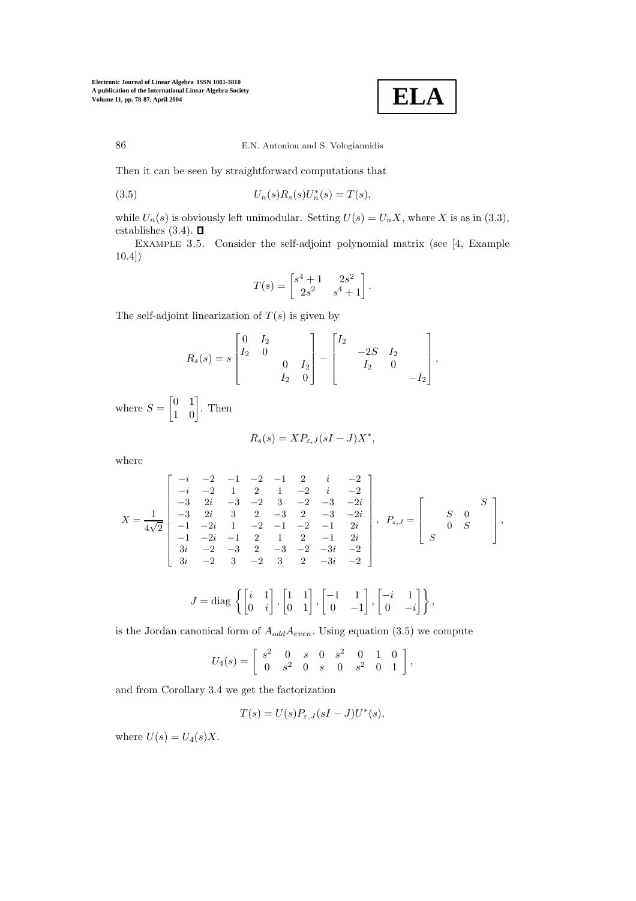

86 E.N. Antoniouand S. Vologiannidis

Then it can be seen by straightforward computations that

(3.5) 
$$
U_n(s)R_s(s)U_n^*(s) = T(s),
$$

while  $U_n(s)$  is obviously left unimodular. Setting  $U(s) = U_n X$ , where X is as in (3.3), establishes  $(3.4)$ .  $\Box$ 

Example 3.5. Consider the self-adjoint polynomial matrix (see [4, Example 10.4])

$$
T(s) = \begin{bmatrix} s^4 + 1 & 2s^2 \\ 2s^2 & s^4 + 1 \end{bmatrix}.
$$

The self-adjoint linearization of  $T(s)$  is given by

$$
R_s(s) = s \begin{bmatrix} 0 & I_2 & & \\ I_2 & 0 & & \\ & & 0 & I_2 \\ & & I_2 & 0 \end{bmatrix} - \begin{bmatrix} I_2 & & & \\ & -2S & I_2 & \\ & I_2 & 0 & \\ & & -I_2 \end{bmatrix},
$$

where  $S = \begin{bmatrix} 0 & 1 \\ 1 & 0 \end{bmatrix}$ . Then

$$
R_s(s) = XP_{\varepsilon, J}(sI-J)X^*,
$$

where

$$
X = \frac{1}{4\sqrt{2}} \begin{bmatrix} -i & -2 & -1 & -2 & -1 & 2 & i & -2 \\ -i & -2 & 1 & 2 & 1 & -2 & i & -2 \\ -3 & 2i & -3 & -2 & 3 & -2 & -3 & -2i \\ -3 & 2i & 3 & 2 & -3 & 2 & -3 & -2i \\ -1 & -2i & 1 & -2 & -1 & -2 & -1 & 2i \\ -1 & -2i & -1 & 2 & 1 & 2 & -1 & 2i \\ 3i & -2 & -3 & 2 & -3 & -2 & -3i & -2 \\ 3i & -2 & 3 & -2 & 3 & 2 & -3i & -2 \end{bmatrix}, P_{\varepsilon,J} = \begin{bmatrix} S & 0 & S \\ 0 & S & 0 & 0 \\ 0 & S & 0 & 0 & 0 \\ 0 & 0 & 0 & 0 & 0 \\ 0 & 0 & 0 & 0 & 0 & 0 \\ 0 & 0 & 0 & 0 & 0 & 0 \\ 0 & 0 & 0 & 0 & 0 & 0 \\ 0 & 0 & 0 & 0 & 0 & 0 \\ 0 & 0 & 0 & 0 & 0 & 0 \\ 0 & 0 & 0 & 0 & 0 & 0 \\ 0 & 0 & 0 & 0 & 0 & 0 \\ 0 & 0 & 0 & 0 & 0 & 0 \\ 0 & 0 & 0 & 0 & 0 & 0 \\ 0 & 0 & 0 & 0 & 0 & 0 \\ 0 & 0 & 0 & 0 & 0 & 0 \\ 0 & 0 & 0 & 0 & 0 & 0 \\ 0 & 0 & 0 & 0 & 0 & 0 \\ 0 & 0 & 0 & 0 & 0 & 0 \\ 0 & 0 & 0 & 0 & 0 & 0 \\ 0 & 0 & 0 & 0 & 0 & 0 \\ 0 & 0 & 0 & 0 & 0 & 0 \\ 0 & 0 & 0 & 0 & 0 & 0 \\ 0 & 0 & 0 & 0 & 0 & 0 \\ 0 & 0 & 0 & 0 & 0 & 0 \\ 0 & 0 & 0 & 0 & 0 & 0 \\ 0 & 0 & 0 & 0 & 0 & 0 \\ 0 & 0 & 0 & 0 & 0 & 0 \\ 0 & 0 & 0 & 0 & 0 & 0 \\ 0 & 0 & 0 & 0 & 0 & 0 \\ 0 & 0 & 0 & 0 & 0 & 0 \\ 0 &
$$

$$
J = \text{diag}\left\{ \begin{bmatrix} i & 1 \\ 0 & i \end{bmatrix}, \begin{bmatrix} 1 & 1 \\ 0 & 1 \end{bmatrix}, \begin{bmatrix} -1 & 1 \\ 0 & -1 \end{bmatrix}, \begin{bmatrix} -i & 1 \\ 0 & -i \end{bmatrix} \right\},\right\}
$$

is the Jordan canonical form of  $A_{odd}A_{even}$ . Using equation (3.5) we compute

$$
U_4(s)=\left[\begin{array}{cccccc}s^2&0&s&0&s^2&0&1&0\\0&s^2&0&s&0&s^2&0&1\end{array}\right],
$$

and from Corollary 3.4 we get the factorization

$$
T(s) = U(s)P_{\varepsilon,J}(sI-J)U^*(s),
$$

where  $U(s) = U_4(s)X$ .